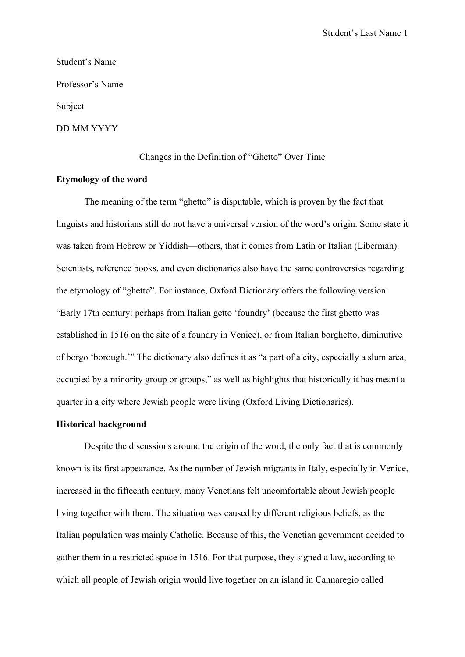# Student's Name Professor's Name Subject DD MM YYYY

### Changes in the Definition of "Ghetto" Over Time

## **Etymology of the word**

The meaning of the term "ghetto" is disputable, which is proven by the fact that linguists and historians still do not have a universal version of the word's origin. Some state it was taken from Hebrew or Yiddish—others, that it comes from Latin or Italian (Liberman). Scientists, reference books, and even dictionaries also have the same controversies regarding the etymology of "ghetto". For instance, Oxford Dictionary offers the following version: "Early 17th century: perhaps from Italian getto 'foundry' (because the first ghetto was established in 1516 on the site of a foundry in Venice), or from Italian borghetto, diminutive of borgo 'borough.'" The dictionary also defines it as "a part of a city, especially a slum area, occupied by a minority group or groups," as well as highlights that historically it has meant a quarter in a city where Jewish people were living (Oxford Living Dictionaries).

### **Historical background**

Despite the discussions around the origin of the word, the only fact that is commonly known is its first appearance. As the number of Jewish migrants in Italy, especially in Venice, increased in the fifteenth century, many Venetians felt uncomfortable about Jewish people living together with them. The situation was caused by different religious beliefs, as the Italian population was mainly Catholic. Because of this, the Venetian government decided to gather them in a restricted space in 1516. For that purpose, they signed a law, according to which all people of Jewish origin would live together on an island in Cannaregio called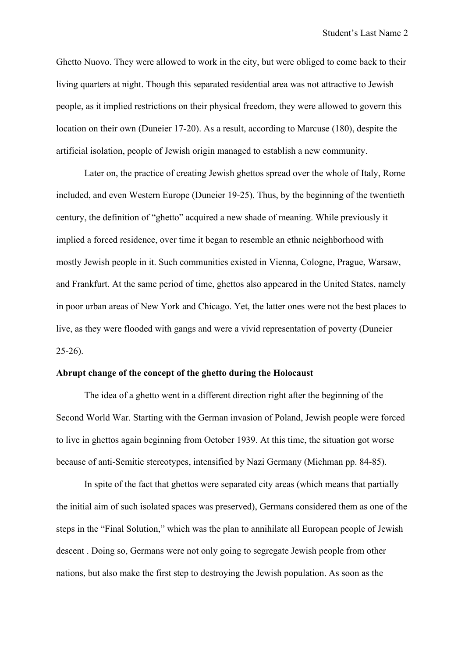Ghetto Nuovo. They were allowed to work in the city, but were obliged to come back to their living quarters at night. Though this separated residential area was not attractive to Jewish people, as it implied restrictions on their physical freedom, they were allowed to govern this location on their own (Duneier 17-20). As a result, according to Marcuse (180), despite the artificial isolation, people of Jewish origin managed to establish a new community.

Later on, the practice of creating Jewish ghettos spread over the whole of Italy, Rome included, and even Western Europe (Duneier 19-25). Thus, by the beginning of the twentieth century, the definition of "ghetto" acquired a new shade of meaning. While previously it implied a forced residence, over time it began to resemble an ethnic neighborhood with mostly Jewish people in it. Such communities existed in Vienna, Cologne, Prague, Warsaw, and Frankfurt. At the same period of time, ghettos also appeared in the United States, namely in poor urban areas of New York and Chicago. Yet, the latter ones were not the best places to live, as they were flooded with gangs and were a vivid representation of poverty (Duneier 25-26).

## **Abrupt change of the concept of the ghetto during the Holocaust**

The idea of a ghetto went in a different direction right after the beginning of the Second World War. Starting with the German invasion of Poland, Jewish people were forced to live in ghettos again beginning from October 1939. At this time, the situation got worse because of anti-Semitic stereotypes, intensified by Nazi Germany (Michman pp. 84-85).

In spite of the fact that ghettos were separated city areas (which means that partially the initial aim of such isolated spaces was preserved), Germans considered them as one of the steps in the "Final Solution," which was the plan to annihilate all European people of Jewish descent . Doing so, Germans were not only going to segregate Jewish people from other nations, but also make the first step to destroying the Jewish population. As soon as the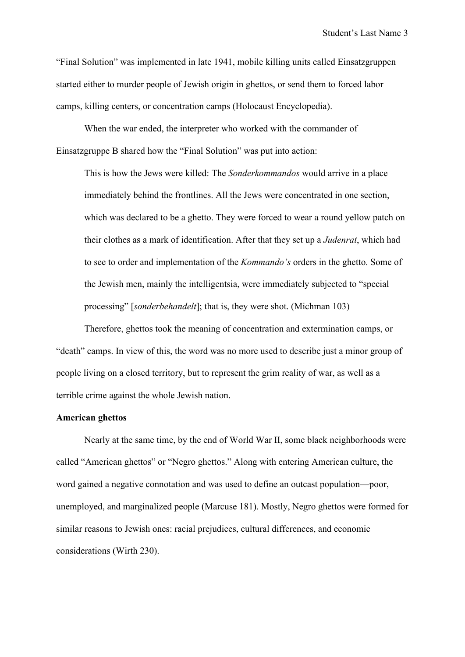"Final Solution" was implemented in late 1941, mobile killing units called Einsatzgruppen started either to murder people of Jewish origin in ghettos, or send them to forced labor camps, killing centers, or concentration camps (Holocaust Encyclopedia).

When the war ended, the interpreter who worked with the commander of Einsatzgruppe B shared how the "Final Solution" was put into action:

This is how the Jews were killed: The *Sonderkommandos* would arrive in a place immediately behind the frontlines. All the Jews were concentrated in one section, which was declared to be a ghetto. They were forced to wear a round yellow patch on their clothes as a mark of identification. After that they set up a *Judenrat*, which had to see to order and implementation of the *Kommando's* orders in the ghetto. Some of the Jewish men, mainly the intelligentsia, were immediately subjected to "special processing" [*sonderbehandelt*]; that is, they were shot. (Michman 103)

Therefore, ghettos took the meaning of concentration and extermination camps, or "death" camps. In view of this, the word was no more used to describe just a minor group of people living on a closed territory, but to represent the grim reality of war, as well as a terrible crime against the whole Jewish nation.

### **American ghettos**

Nearly at the same time, by the end of World War II, some black neighborhoods were called "American ghettos" or "Negro ghettos." Along with entering American culture, the word gained a negative connotation and was used to define an outcast population—poor, unemployed, and marginalized people (Marcuse 181). Mostly, Negro ghettos were formed for similar reasons to Jewish ones: racial prejudices, cultural differences, and economic considerations (Wirth 230).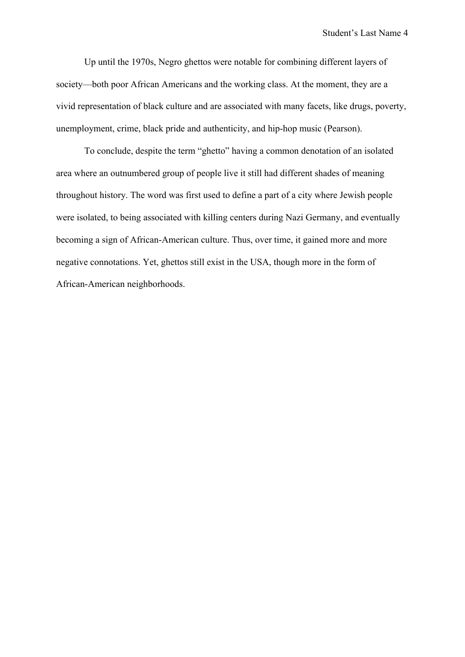Up until the 1970s, Negro ghettos were notable for combining different layers of society—both poor African Americans and the working class. At the moment, they are a vivid representation of black culture and are associated with many facets, like drugs, poverty, unemployment, crime, black pride and authenticity, and hip-hop music (Pearson).

To conclude, despite the term "ghetto" having a common denotation of an isolated area where an outnumbered group of people live it still had different shades of meaning throughout history. The word was first used to define a part of a city where Jewish people were isolated, to being associated with killing centers during Nazi Germany, and eventually becoming a sign of African-American culture. Thus, over time, it gained more and more negative connotations. Yet, ghettos still exist in the USA, though more in the form of African-American neighborhoods.